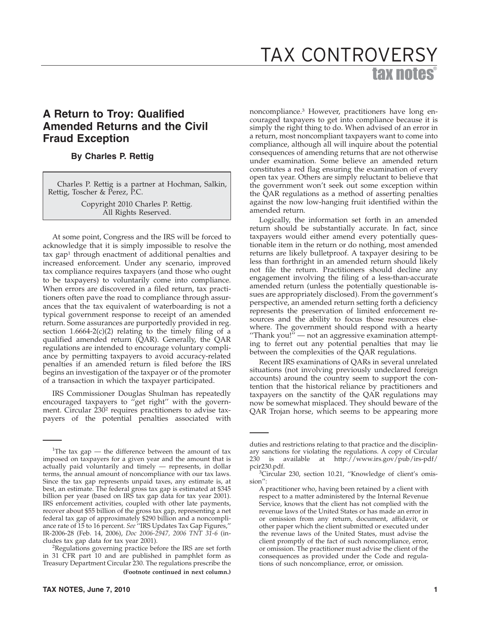# tax notes® TAX CONTROVERSY

## **A Return to Troy: Qualified Amended Returns and the Civil Fraud Exception**

### **By Charles P. Rettig**

Charles P. Rettig is a partner at Hochman, Salkin, Rettig, Toscher & Perez, P.C.

> Copyright 2010 Charles P. Rettig. All Rights Reserved.

At some point, Congress and the IRS will be forced to acknowledge that it is simply impossible to resolve the tax gap<sup>1</sup> through enactment of additional penalties and increased enforcement. Under any scenario, improved tax compliance requires taxpayers (and those who ought to be taxpayers) to voluntarily come into compliance. When errors are discovered in a filed return, tax practitioners often pave the road to compliance through assurances that the tax equivalent of waterboarding is not a typical government response to receipt of an amended return. Some assurances are purportedly provided in reg. section  $1.6664-2(c)(2)$  relating to the timely filing of a qualified amended return (QAR). Generally, the QAR regulations are intended to encourage voluntary compliance by permitting taxpayers to avoid accuracy-related penalties if an amended return is filed before the IRS begins an investigation of the taxpayer or of the promoter of a transaction in which the taxpayer participated.

IRS Commissioner Douglas Shulman has repeatedly encouraged taxpayers to ''get right'' with the government. Circular 230<sup>2</sup> requires practitioners to advise taxpayers of the potential penalties associated with noncompliance.3 However, practitioners have long encouraged taxpayers to get into compliance because it is simply the right thing to do. When advised of an error in a return, most noncompliant taxpayers want to come into compliance, although all will inquire about the potential consequences of amending returns that are not otherwise under examination. Some believe an amended return constitutes a red flag ensuring the examination of every open tax year. Others are simply reluctant to believe that the government won't seek out some exception within the QAR regulations as a method of asserting penalties against the now low-hanging fruit identified within the amended return.

Logically, the information set forth in an amended return should be substantially accurate. In fact, since taxpayers would either amend every potentially questionable item in the return or do nothing, most amended returns are likely bulletproof. A taxpayer desiring to be less than forthright in an amended return should likely not file the return. Practitioners should decline any engagement involving the filing of a less-than-accurate amended return (unless the potentially questionable issues are appropriately disclosed). From the government's perspective, an amended return setting forth a deficiency represents the preservation of limited enforcement resources and the ability to focus those resources elsewhere. The government should respond with a hearty "Thank you!" — not an aggressive examination attempting to ferret out any potential penalties that may lie between the complexities of the QAR regulations.

Recent IRS examinations of QARs in several unrelated situations (not involving previously undeclared foreign accounts) around the country seem to support the contention that the historical reliance by practitioners and taxpayers on the sanctity of the  $QAR$  regulations may now be somewhat misplaced. They should beware of the QAR Trojan horse, which seems to be appearing more

<sup>&</sup>lt;sup>1</sup>The tax gap  $-$  the difference between the amount of tax imposed on taxpayers for a given year and the amount that is actually paid voluntarily and timely — represents, in dollar terms, the annual amount of noncompliance with our tax laws. Since the tax gap represents unpaid taxes, any estimate is, at best, an estimate. The federal gross tax gap is estimated at \$345 billion per year (based on IRS tax gap data for tax year 2001). IRS enforcement activities, coupled with other late payments, recover about \$55 billion of the gross tax gap, representing a net federal tax gap of approximately \$290 billion and a noncompliance rate of 15 to 16 percent. *See* ''IRS Updates Tax Gap Figures,'' IR-2006-28 (Feb. 14, 2006), *Doc 2006-2947, 2006 TNT 31-6* (includes tax gap data for tax year 2001). <sup>2</sup>

<sup>&</sup>lt;sup>2</sup>Regulations governing practice before the IRS are set forth in 31 CFR part 10 and are published in pamphlet form as Treasury Department Circular 230. The regulations prescribe the **(Footnote continued in next column.)**

duties and restrictions relating to that practice and the disciplinary sanctions for violating the regulations. A copy of Circular 230 is available at http://www.irs.gov/pub/irs-pdf/ pcir230.pdf.

<sup>&</sup>lt;sup>3</sup>Circular 230, section 10.21, "Knowledge of client's omission'':

A practitioner who, having been retained by a client with respect to a matter administered by the Internal Revenue Service, knows that the client has not complied with the revenue laws of the United States or has made an error in or omission from any return, document, affidavit, or other paper which the client submitted or executed under the revenue laws of the United States, must advise the client promptly of the fact of such noncompliance, error, or omission. The practitioner must advise the client of the consequences as provided under the Code and regulations of such noncompliance, error, or omission.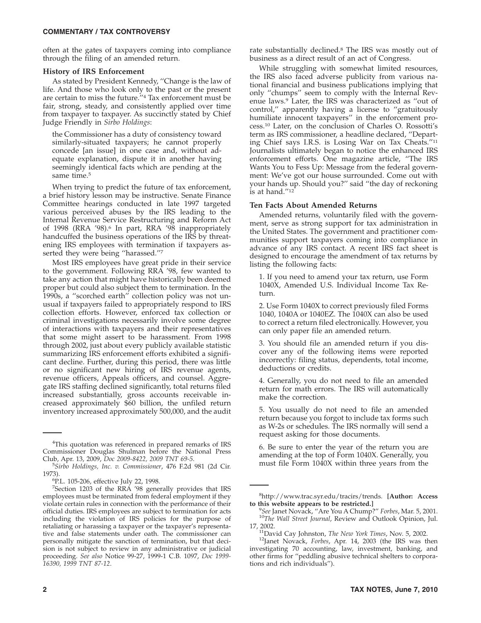often at the gates of taxpayers coming into compliance through the filing of an amended return.

#### **History of IRS Enforcement**

As stated by President Kennedy, ''Change is the law of life. And those who look only to the past or the present are certain to miss the future.''4 Tax enforcement must be fair, strong, steady, and consistently applied over time from taxpayer to taxpayer. As succinctly stated by Chief Judge Friendly in *Sirbo Holdings*:

the Commissioner has a duty of consistency toward similarly-situated taxpayers; he cannot properly concede [an issue] in one case and, without adequate explanation, dispute it in another having seemingly identical facts which are pending at the same time.<sup>5</sup>

When trying to predict the future of tax enforcement, a brief history lesson may be instructive. Senate Finance Committee hearings conducted in late 1997 targeted various perceived abuses by the IRS leading to the Internal Revenue Service Restructuring and Reform Act of 1998 (RRA '98).6 In part, RRA '98 inappropriately handcuffed the business operations of the IRS by threatening IRS employees with termination if taxpayers asserted they were being "harassed."7

Most IRS employees have great pride in their service to the government. Following RRA '98, few wanted to take any action that might have historically been deemed proper but could also subject them to termination. In the 1990s, a ''scorched earth'' collection policy was not unusual if taxpayers failed to appropriately respond to IRS collection efforts. However, enforced tax collection or criminal investigations necessarily involve some degree of interactions with taxpayers and their representatives that some might assert to be harassment. From 1998 through 2002, just about every publicly available statistic summarizing IRS enforcement efforts exhibited a significant decline. Further, during this period, there was little or no significant new hiring of IRS revenue agents, revenue officers, Appeals officers, and counsel. Aggregate IRS staffing declined significantly, total returns filed increased substantially, gross accounts receivable increased approximately \$60 billion, the unfiled return inventory increased approximately 500,000, and the audit

While struggling with somewhat limited resources, the IRS also faced adverse publicity from various national financial and business publications implying that only ''chumps'' seem to comply with the Internal Revenue laws.9 Later, the IRS was characterized as ''out of control,'' apparently having a license to ''gratuitously humiliate innocent taxpayers'' in the enforcement process.10 Later, on the conclusion of Charles O. Rossotti's term as IRS commissioner, a headline declared, ''Departing Chief says I.R.S. is Losing War on Tax Cheats.''11 Journalists ultimately began to notice the enhanced IRS enforcement efforts. One magazine article, ''The IRS Wants You to Fess Up: Message from the federal government: We've got our house surrounded. Come out with your hands up. Should you?'' said ''the day of reckoning is at hand.''12

#### **Ten Facts About Amended Returns**

Amended returns, voluntarily filed with the government, serve as strong support for tax administration in the United States. The government and practitioner communities support taxpayers coming into compliance in advance of any IRS contact. A recent IRS fact sheet is designed to encourage the amendment of tax returns by listing the following facts:

1. If you need to amend your tax return, use Form 1040X, Amended U.S. Individual Income Tax Return.

2. Use Form 1040X to correct previously filed Forms 1040, 1040A or 1040EZ. The 1040X can also be used to correct a return filed electronically. However, you can only paper file an amended return.

3. You should file an amended return if you discover any of the following items were reported incorrectly: filing status, dependents, total income, deductions or credits.

4. Generally, you do not need to file an amended return for math errors. The IRS will automatically make the correction.

5. You usually do not need to file an amended return because you forgot to include tax forms such as W-2s or schedules. The IRS normally will send a request asking for those documents.

6. Be sure to enter the year of the return you are amending at the top of Form 1040X. Generally, you must file Form 1040X within three years from the

<sup>&</sup>lt;sup>4</sup>This quotation was referenced in prepared remarks of IRS Commissioner Douglas Shulman before the National Press Club, Apr. 13, 2009, *Doc 2009-8422, 2009 TNT 69-5*.

*Sirbo Holdings, Inc. v. Commissioner*, 476 F.2d 981 (2d Cir. 1973). <sup>6</sup>

P.L. 105-206, effective July 22, 1998.

<sup>&</sup>lt;sup>7</sup>Section 1203 of the RRA '98 generally provides that IRS employees must be terminated from federal employment if they violate certain rules in connection with the performance of their official duties. IRS employees are subject to termination for acts including the violation of IRS policies for the purpose of retaliating or harassing a taxpayer or the taxpayer's representative and false statements under oath. The commissioner can personally mitigate the sanction of termination, but that decision is not subject to review in any administrative or judicial proceeding. *See also* Notice 99-27, 1999-1 C.B. 1097, *Doc 1999- 16390, 1999 TNT 87-12*.

<sup>8</sup> http://www.trac.syr.edu/tracirs/trends. **[Author: Access**

**to this website appears to be restricted.]**<br><sup>9</sup>See Janet Novack, "Are You A Chump?" Forbes, Mar. 5, 2001. <sup>10</sup>The Wall Street Journal, Review and Outlook Opinion, Jul.

<sup>17, 2002.</sup> 11David Cay Johnston, *The New York Times*, Nov. 5, 2002. 12Janet Novack, *Forbes*, Apr. 14, 2003 (the IRS was then investigating 70 accounting, law, investment, banking, and other firms for ''peddling abusive technical shelters to corporations and rich individuals'').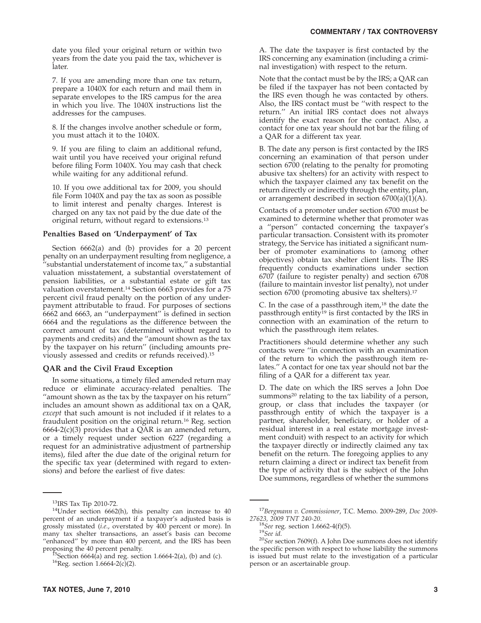date you filed your original return or within two years from the date you paid the tax, whichever is later.

7. If you are amending more than one tax return, prepare a 1040X for each return and mail them in separate envelopes to the IRS campus for the area in which you live. The 1040X instructions list the addresses for the campuses.

8. If the changes involve another schedule or form, you must attach it to the 1040X.

9. If you are filing to claim an additional refund, wait until you have received your original refund before filing Form 1040X. You may cash that check while waiting for any additional refund.

10. If you owe additional tax for 2009, you should file Form 1040X and pay the tax as soon as possible to limit interest and penalty charges. Interest is charged on any tax not paid by the due date of the original return, without regard to extensions.13

#### **Penalties Based on 'Underpayment' of Tax**

Section 6662(a) and (b) provides for a 20 percent penalty on an underpayment resulting from negligence, a 'substantial understatement of income tax," a substantial valuation misstatement, a substantial overstatement of pension liabilities, or a substantial estate or gift tax valuation overstatement.<sup>14</sup> Section 6663 provides for a 75 percent civil fraud penalty on the portion of any underpayment attributable to fraud. For purposes of sections 6662 and 6663, an ''underpayment'' is defined in section 6664 and the regulations as the difference between the correct amount of tax (determined without regard to payments and credits) and the ''amount shown as the tax by the taxpayer on his return'' (including amounts previously assessed and credits or refunds received).15

#### **QAR and the Civil Fraud Exception**

In some situations, a timely filed amended return may reduce or eliminate accuracy-related penalties. The ''amount shown as the tax by the taxpayer on his return'' includes an amount shown as additional tax on a QAR, *except* that such amount is not included if it relates to a fraudulent position on the original return.<sup>16</sup> Reg. section  $6664-2(c)(3)$  provides that a QAR is an amended return, or a timely request under section 6227 (regarding a request for an administrative adjustment of partnership items), filed after the due date of the original return for the specific tax year (determined with regard to extensions) and before the earliest of five dates:

A. The date the taxpayer is first contacted by the IRS concerning any examination (including a criminal investigation) with respect to the return.

Note that the contact must be by the IRS; a QAR can be filed if the taxpayer has not been contacted by the IRS even though he was contacted by others. Also, the IRS contact must be ''with respect to the return.'' An initial IRS contact does not always identify the exact reason for the contact. Also, a contact for one tax year should not bar the filing of a QAR for a different tax year.

B. The date any person is first contacted by the IRS concerning an examination of that person under section 6700 (relating to the penalty for promoting abusive tax shelters) for an activity with respect to which the taxpayer claimed any tax benefit on the return directly or indirectly through the entity, plan, or arrangement described in section 6700(a)(1)(A).

Contacts of a promoter under section 6700 must be examined to determine whether that promoter was a ''person'' contacted concerning the taxpayer's particular transaction. Consistent with its promoter strategy, the Service has initiated a significant number of promoter examinations to (among other objectives) obtain tax shelter client lists. The IRS frequently conducts examinations under section 6707 (failure to register penalty) and section 6708 (failure to maintain investor list penalty), not under section 6700 (promoting abusive tax shelters).<sup>17</sup>

C. In the case of a passthrough item, $18$  the date the passthrough entity19 is first contacted by the IRS in connection with an examination of the return to which the passthrough item relates.

Practitioners should determine whether any such contacts were ''in connection with an examination of the return to which the passthrough item relates.'' A contact for one tax year should not bar the filing of a QAR for a different tax year.

D. The date on which the IRS serves a John Doe summons<sup>20</sup> relating to the tax liability of a person, group, or class that includes the taxpayer (or passthrough entity of which the taxpayer is a partner, shareholder, beneficiary, or holder of a residual interest in a real estate mortgage investment conduit) with respect to an activity for which the taxpayer directly or indirectly claimed any tax benefit on the return. The foregoing applies to any return claiming a direct or indirect tax benefit from the type of activity that is the subject of the John Doe summons, regardless of whether the summons

<sup>&</sup>lt;sup>13</sup>IRS Tax Tip 2010-72.<br><sup>14</sup>Under section 6662(h), this penalty can increase to 40 percent of an underpayment if a taxpayer's adjusted basis is grossly misstated (*i.e*., overstated by 400 percent or more). In many tax shelter transactions, an asset's basis can become ''enhanced'' by more than 400 percent, and the IRS has been

proposing the 40 percent penalty.<br><sup>15</sup>Section 6664(a) and reg. section 1.6664-2(a), (b) and (c).<br><sup>16</sup>Reg. section 1.6664-2(c)(2).

<sup>&</sup>lt;sup>17</sup>Bergmann v. Commissioner, T.C. Memo. 2009-289, *Doc* 2009-27623, 2009 TNT 240-20.<br><sup>18</sup>See reg. section 1.6662-4(f)(5).

<sup>&</sup>lt;sup>19</sup>See id. <sup>20</sup>*See* id. <sup>20</sup>*See* section 7609(f). A John Doe summons does not identify the specific person with respect to whose liability the summons is issued but must relate to the investigation of a particular person or an ascertainable group.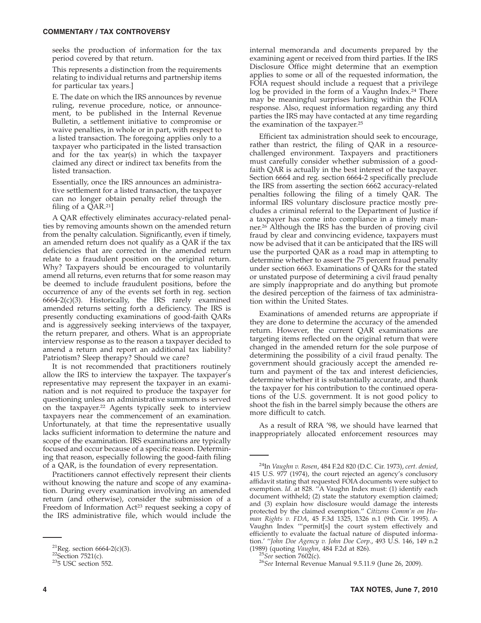#### **COMMENTARY / TAX CONTROVERSY**

seeks the production of information for the tax period covered by that return.

This represents a distinction from the requirements relating to individual returns and partnership items for particular tax years.]

E. The date on which the IRS announces by revenue ruling, revenue procedure, notice, or announcement, to be published in the Internal Revenue Bulletin, a settlement initiative to compromise or waive penalties, in whole or in part, with respect to a listed transaction. The foregoing applies only to a taxpayer who participated in the listed transaction and for the tax year(s) in which the taxpayer claimed any direct or indirect tax benefits from the listed transaction.

Essentially, once the IRS announces an administrative settlement for a listed transaction, the taxpayer can no longer obtain penalty relief through the filing of a QAR.21]

A QAR effectively eliminates accuracy-related penalties by removing amounts shown on the amended return from the penalty calculation. Significantly, even if timely, an amended return does not qualify as a QAR if the tax deficiencies that are corrected in the amended return relate to a fraudulent position on the original return. Why? Taxpayers should be encouraged to voluntarily amend all returns, even returns that for some reason may be deemed to include fraudulent positions, before the occurrence of any of the events set forth in reg. section 6664-2(c)(3). Historically, the IRS rarely examined amended returns setting forth a deficiency. The IRS is presently conducting examinations of good-faith QARs and is aggressively seeking interviews of the taxpayer, the return preparer, and others. What is an appropriate interview response as to the reason a taxpayer decided to amend a return and report an additional tax liability? Patriotism? Sleep therapy? Should we care?

It is not recommended that practitioners routinely allow the IRS to interview the taxpayer. The taxpayer's representative may represent the taxpayer in an examination and is not required to produce the taxpayer for questioning unless an administrative summons is served on the taxpayer.22 Agents typically seek to interview taxpayers near the commencement of an examination. Unfortunately, at that time the representative usually lacks sufficient information to determine the nature and scope of the examination. IRS examinations are typically focused and occur because of a specific reason. Determining that reason, especially following the good-faith filing of a QAR, is the foundation of every representation.

Practitioners cannot effectively represent their clients without knowing the nature and scope of any examination. During every examination involving an amended return (and otherwise), consider the submission of a Freedom of Information Act<sup>23</sup> request seeking a copy of the IRS administrative file, which would include the internal memoranda and documents prepared by the examining agent or received from third parties. If the IRS Disclosure Office might determine that an exemption applies to some or all of the requested information, the FOIA request should include a request that a privilege log be provided in the form of a Vaughn Index.<sup>24</sup> There may be meaningful surprises lurking within the FOIA response. Also, request information regarding any third parties the IRS may have contacted at any time regarding the examination of the taxpayer.25

Efficient tax administration should seek to encourage, rather than restrict, the filing of QAR in a resourcechallenged environment. Taxpayers and practitioners must carefully consider whether submission of a goodfaith QAR is actually in the best interest of the taxpayer. Section 6664 and reg. section 6664-2 specifically preclude the IRS from asserting the section 6662 accuracy-related penalties following the filing of a timely QAR. The informal IRS voluntary disclosure practice mostly precludes a criminal referral to the Department of Justice if a taxpayer has come into compliance in a timely manner.26 Although the IRS has the burden of proving civil fraud by clear and convincing evidence, taxpayers must now be advised that it can be anticipated that the IRS will use the purported QAR as a road map in attempting to determine whether to assert the 75 percent fraud penalty under section 6663. Examinations of QARs for the stated or unstated purpose of determining a civil fraud penalty are simply inappropriate and do anything but promote the desired perception of the fairness of tax administration within the United States.

Examinations of amended returns are appropriate if they are done to determine the accuracy of the amended return. However, the current QAR examinations are targeting items reflected on the original return that were changed in the amended return for the sole purpose of determining the possibility of a civil fraud penalty. The government should graciously accept the amended return and payment of the tax and interest deficiencies, determine whether it is substantially accurate, and thank the taxpayer for his contribution to the continued operations of the U.S. government. It is not good policy to shoot the fish in the barrel simply because the others are more difficult to catch.

As a result of RRA '98, we should have learned that inappropriately allocated enforcement resources may

<sup>&</sup>lt;sup>21</sup>Reg. section 6664-2(c)(3).<br><sup>22</sup>Section 7521(c).<br><sup>23</sup>5 USC section 552.

<sup>24</sup>In *Vaughn v. Rosen*, 484 F.2d 820 (D.C. Cir. 1973), *cert. denied*, 415 U.S. 977 (1974), the court rejected an agency's conclusory affidavit stating that requested FOIA documents were subject to exemption. *Id*. at 828. ''A Vaughn Index must: (1) identify each document withheld; (2) state the statutory exemption claimed; and (3) explain how disclosure would damage the interests protected by the claimed exemption.'' *Citizens Comm'n on Human Rights v. FDA*, 45 F.3d 1325, 1326 n.1 (9th Cir. 1995). A Vaughn Index '''permit[s] the court system effectively and efficiently to evaluate the factual nature of disputed information.' ''*John Doe Agency v. John Doe Corp*., 493 U.S. 146, 149 n.2

<sup>&</sup>lt;sup>25</sup>See section 7602(c).<br><sup>26</sup>See Internal Revenue Manual 9.5.11.9 (June 26, 2009).